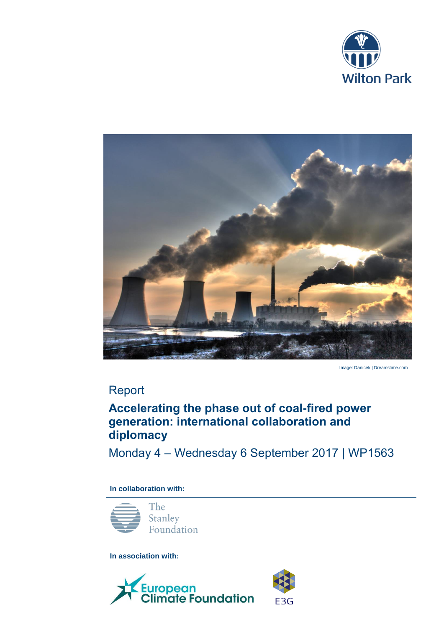



Image: Danicek | Dreamstime.com

# Report

## **Accelerating the phase out of coal-fired power generation: international collaboration and diplomacy**

Monday 4 – Wednesday 6 September 2017 | WP1563

**In collaboration with:** 



**In association with:** 



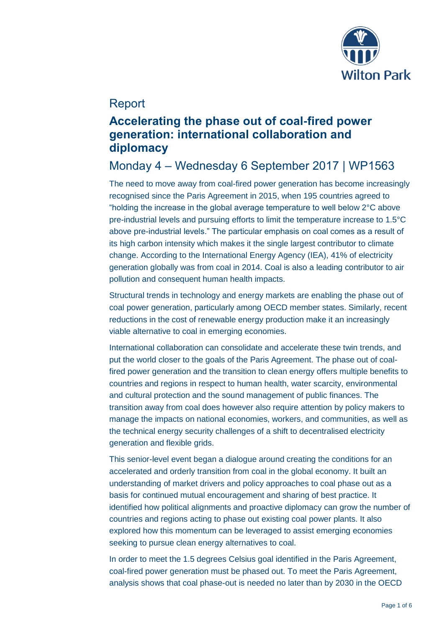

## Report

## **Accelerating the phase out of coal-fired power generation: international collaboration and diplomacy**

# Monday 4 – Wednesday 6 September 2017 | WP1563

The need to move away from coal-fired power generation has become increasingly recognised since the Paris Agreement in 2015, when 195 countries agreed to "holding the increase in the global average temperature to well below 2°C above pre-industrial levels and pursuing efforts to limit the temperature increase to 1.5°C above pre-industrial levels." The particular emphasis on coal comes as a result of its high carbon intensity which makes it the single largest contributor to climate change. According to the International Energy Agency (IEA), 41% of electricity generation globally was from coal in 2014. Coal is also a leading contributor to air pollution and consequent human health impacts.

Structural trends in technology and energy markets are enabling the phase out of coal power generation, particularly among OECD member states. Similarly, recent reductions in the cost of renewable energy production make it an increasingly viable alternative to coal in emerging economies.

International collaboration can consolidate and accelerate these twin trends, and put the world closer to the goals of the Paris Agreement. The phase out of coalfired power generation and the transition to clean energy offers multiple benefits to countries and regions in respect to human health, water scarcity, environmental and cultural protection and the sound management of public finances. The transition away from coal does however also require attention by policy makers to manage the impacts on national economies, workers, and communities, as well as the technical energy security challenges of a shift to decentralised electricity generation and flexible grids.

This senior-level event began a dialogue around creating the conditions for an accelerated and orderly transition from coal in the global economy. It built an understanding of market drivers and policy approaches to coal phase out as a basis for continued mutual encouragement and sharing of best practice. It identified how political alignments and proactive diplomacy can grow the number of countries and regions acting to phase out existing coal power plants. It also explored how this momentum can be leveraged to assist emerging economies seeking to pursue clean energy alternatives to coal.

In order to meet the 1.5 degrees Celsius goal identified in the Paris Agreement, coal-fired power generation must be phased out. To meet the Paris Agreement, analysis shows that coal phase-out is needed no later than by 2030 in the OECD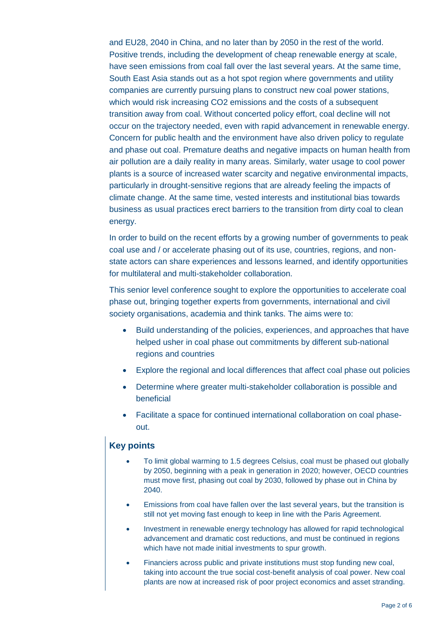and EU28, 2040 in China, and no later than by 2050 in the rest of the world. Positive trends, including the development of cheap renewable energy at scale, have seen emissions from coal fall over the last several years. At the same time, South East Asia stands out as a hot spot region where governments and utility companies are currently pursuing plans to construct new coal power stations, which would risk increasing CO2 emissions and the costs of a subsequent transition away from coal. Without concerted policy effort, coal decline will not occur on the trajectory needed, even with rapid advancement in renewable energy. Concern for public health and the environment have also driven policy to regulate and phase out coal. Premature deaths and negative impacts on human health from air pollution are a daily reality in many areas. Similarly, water usage to cool power plants is a source of increased water scarcity and negative environmental impacts, particularly in drought-sensitive regions that are already feeling the impacts of climate change. At the same time, vested interests and institutional bias towards business as usual practices erect barriers to the transition from dirty coal to clean energy.

In order to build on the recent efforts by a growing number of governments to peak coal use and / or accelerate phasing out of its use, countries, regions, and nonstate actors can share experiences and lessons learned, and identify opportunities for multilateral and multi-stakeholder collaboration.

This senior level conference sought to explore the opportunities to accelerate coal phase out, bringing together experts from governments, international and civil society organisations, academia and think tanks. The aims were to:

- Build understanding of the policies, experiences, and approaches that have helped usher in coal phase out commitments by different sub-national regions and countries
- Explore the regional and local differences that affect coal phase out policies
- Determine where greater multi-stakeholder collaboration is possible and beneficial
- Facilitate a space for continued international collaboration on coal phaseout.

#### **Key points**

- To limit global warming to 1.5 degrees Celsius, coal must be phased out globally by 2050, beginning with a peak in generation in 2020; however, OECD countries must move first, phasing out coal by 2030, followed by phase out in China by 2040.
- Emissions from coal have fallen over the last several years, but the transition is still not yet moving fast enough to keep in line with the Paris Agreement.
- Investment in renewable energy technology has allowed for rapid technological advancement and dramatic cost reductions, and must be continued in regions which have not made initial investments to spur growth.
- Financiers across public and private institutions must stop funding new coal, taking into account the true social cost-benefit analysis of coal power. New coal plants are now at increased risk of poor project economics and asset stranding.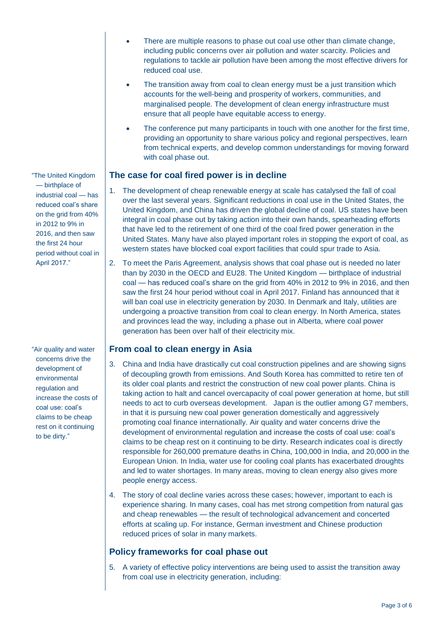- There are multiple reasons to phase out coal use other than climate change, including public concerns over air pollution and water scarcity. Policies and regulations to tackle air pollution have been among the most effective drivers for reduced coal use.
	- The transition away from coal to clean energy must be a just transition which accounts for the well-being and prosperity of workers, communities, and marginalised people. The development of clean energy infrastructure must ensure that all people have equitable access to energy.
	- The conference put many participants in touch with one another for the first time, providing an opportunity to share various policy and regional perspectives, learn from technical experts, and develop common understandings for moving forward with coal phase out.

### **The case for coal fired power is in decline**

- 1. The development of cheap renewable energy at scale has catalysed the fall of coal over the last several years. Significant reductions in coal use in the United States, the United Kingdom, and China has driven the global decline of coal. US states have been integral in coal phase out by taking action into their own hands, spearheading efforts that have led to the retirement of one third of the coal fired power generation in the United States. Many have also played important roles in stopping the export of coal, as western states have blocked coal export facilities that could spur trade to Asia.
- 2. To meet the Paris Agreement, analysis shows that coal phase out is needed no later than by 2030 in the OECD and EU28. The United Kingdom — birthplace of industrial coal — has reduced coal's share on the grid from 40% in 2012 to 9% in 2016, and then saw the first 24 hour period without coal in April 2017. Finland has announced that it will ban coal use in electricity generation by 2030. In Denmark and Italy, utilities are undergoing a proactive transition from coal to clean energy. In North America, states and provinces lead the way, including a phase out in Alberta, where coal power generation has been over half of their electricity mix.

### **From coal to clean energy in Asia**

- 3. China and India have drastically cut coal construction pipelines and are showing signs of decoupling growth from emissions. And South Korea has committed to retire ten of its older coal plants and restrict the construction of new coal power plants. China is taking action to halt and cancel overcapacity of coal power generation at home, but still needs to act to curb overseas development. Japan is the outlier among G7 members, in that it is pursuing new coal power generation domestically and aggressively promoting coal finance internationally. Air quality and water concerns drive the development of environmental regulation and increase the costs of coal use: coal's claims to be cheap rest on it continuing to be dirty. Research indicates coal is directly responsible for 260,000 premature deaths in China, 100,000 in India, and 20,000 in the European Union. In India, water use for cooling coal plants has exacerbated droughts and led to water shortages. In many areas, moving to clean energy also gives more people energy access.
- 4. The story of coal decline varies across these cases; however, important to each is experience sharing. In many cases, coal has met strong competition from natural gas and cheap renewables — the result of technological advancement and concerted efforts at scaling up. For instance, German investment and Chinese production reduced prices of solar in many markets.

## **Policy frameworks for coal phase out**

5. A variety of effective policy interventions are being used to assist the transition away from coal use in electricity generation, including:

"The United Kingdom — birthplace of industrial coal — has reduced coal's share on the grid from 40% in 2012 to 9% in 2016, and then saw the first 24 hour period without coal in April 2017."

"Air quality and water concerns drive the development of environmental regulation and increase the costs of coal use: coal's claims to be cheap rest on it continuing to be dirty."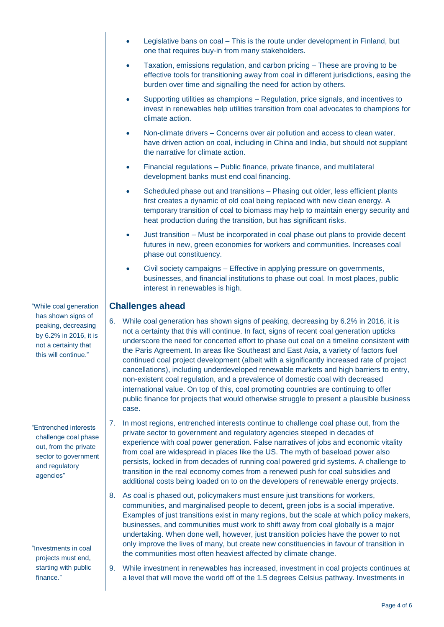- Legislative bans on coal This is the route under development in Finland, but one that requires buy-in from many stakeholders.
- Taxation, emissions regulation, and carbon pricing These are proving to be effective tools for transitioning away from coal in different jurisdictions, easing the burden over time and signalling the need for action by others.
- Supporting utilities as champions Regulation, price signals, and incentives to invest in renewables help utilities transition from coal advocates to champions for climate action.
- Non-climate drivers Concerns over air pollution and access to clean water, have driven action on coal, including in China and India, but should not supplant the narrative for climate action.
- Financial regulations Public finance, private finance, and multilateral development banks must end coal financing.
- Scheduled phase out and transitions Phasing out older, less efficient plants first creates a dynamic of old coal being replaced with new clean energy. A temporary transition of coal to biomass may help to maintain energy security and heat production during the transition, but has significant risks.
- Just transition Must be incorporated in coal phase out plans to provide decent futures in new, green economies for workers and communities. Increases coal phase out constituency.
- Civil society campaigns Effective in applying pressure on governments, businesses, and financial institutions to phase out coal. In most places, public interest in renewables is high.

### **Challenges ahead**

- 6. While coal generation has shown signs of peaking, decreasing by 6.2% in 2016, it is not a certainty that this will continue. In fact, signs of recent coal generation upticks underscore the need for concerted effort to phase out coal on a timeline consistent with the Paris Agreement. In areas like Southeast and East Asia, a variety of factors fuel continued coal project development (albeit with a significantly increased rate of project cancellations), including underdeveloped renewable markets and high barriers to entry, non-existent coal regulation, and a prevalence of domestic coal with decreased international value. On top of this, coal promoting countries are continuing to offer public finance for projects that would otherwise struggle to present a plausible business case.
- 7. In most regions, entrenched interests continue to challenge coal phase out, from the private sector to government and regulatory agencies steeped in decades of experience with coal power generation. False narratives of jobs and economic vitality from coal are widespread in places like the US. The myth of baseload power also persists, locked in from decades of running coal powered grid systems. A challenge to transition in the real economy comes from a renewed push for coal subsidies and additional costs being loaded on to on the developers of renewable energy projects.
- 8. As coal is phased out, policymakers must ensure just transitions for workers, communities, and marginalised people to decent, green jobs is a social imperative. Examples of just transitions exist in many regions, but the scale at which policy makers, businesses, and communities must work to shift away from coal globally is a major undertaking. When done well, however, just transition policies have the power to not only improve the lives of many, but create new constituencies in favour of transition in the communities most often heaviest affected by climate change.
- 9. While investment in renewables has increased, investment in coal projects continues at a level that will move the world off of the 1.5 degrees Celsius pathway. Investments in

"While coal generation has shown signs of peaking, decreasing by 6.2% in 2016, it is not a certainty that this will continue."

"Entrenched interests challenge coal phase out, from the private sector to government and regulatory agencies"

"Investments in coal projects must end, starting with public finance."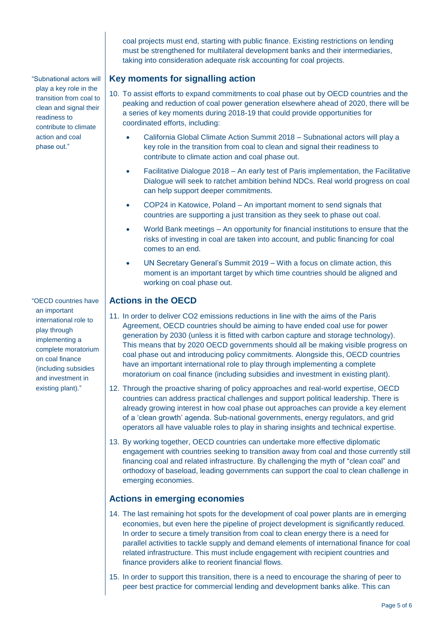coal projects must end, starting with public finance. Existing restrictions on lending must be strengthened for multilateral development banks and their intermediaries, taking into consideration adequate risk accounting for coal projects.

### **Key moments for signalling action**

- 10. To assist efforts to expand commitments to coal phase out by OECD countries and the peaking and reduction of coal power generation elsewhere ahead of 2020, there will be a series of key moments during 2018-19 that could provide opportunities for coordinated efforts, including:
	- California Global Climate Action Summit 2018 Subnational actors will play a key role in the transition from coal to clean and signal their readiness to contribute to climate action and coal phase out.
	- Facilitative Dialogue 2018 An early test of Paris implementation, the Facilitative Dialogue will seek to ratchet ambition behind NDCs. Real world progress on coal can help support deeper commitments.
	- COP24 in Katowice, Poland An important moment to send signals that countries are supporting a just transition as they seek to phase out coal.
	- World Bank meetings An opportunity for financial institutions to ensure that the risks of investing in coal are taken into account, and public financing for coal comes to an end.
	- UN Secretary General's Summit 2019 With a focus on climate action, this moment is an important target by which time countries should be aligned and working on coal phase out.

### **Actions in the OECD**

- 11. In order to deliver CO2 emissions reductions in line with the aims of the Paris Agreement, OECD countries should be aiming to have ended coal use for power generation by 2030 (unless it is fitted with carbon capture and storage technology). This means that by 2020 OECD governments should all be making visible progress on coal phase out and introducing policy commitments. Alongside this, OECD countries have an important international role to play through implementing a complete moratorium on coal finance (including subsidies and investment in existing plant).
- 12. Through the proactive sharing of policy approaches and real-world expertise, OECD countries can address practical challenges and support political leadership. There is already growing interest in how coal phase out approaches can provide a key element of a 'clean growth' agenda. Sub-national governments, energy regulators, and grid operators all have valuable roles to play in sharing insights and technical expertise.
- 13. By working together, OECD countries can undertake more effective diplomatic engagement with countries seeking to transition away from coal and those currently still financing coal and related infrastructure. By challenging the myth of "clean coal" and orthodoxy of baseload, leading governments can support the coal to clean challenge in emerging economies.

### **Actions in emerging economies**

- 14. The last remaining hot spots for the development of coal power plants are in emerging economies, but even here the pipeline of project development is significantly reduced. In order to secure a timely transition from coal to clean energy there is a need for parallel activities to tackle supply and demand elements of international finance for coal related infrastructure. This must include engagement with recipient countries and finance providers alike to reorient financial flows.
- 15. In order to support this transition, there is a need to encourage the sharing of peer to peer best practice for commercial lending and development banks alike. This can

"Subnational actors will play a key role in the transition from coal to clean and signal their readiness to contribute to climate action and coal phase out."

"OECD countries have an important international role to play through implementing a complete moratorium on coal finance (including subsidies and investment in existing plant)."